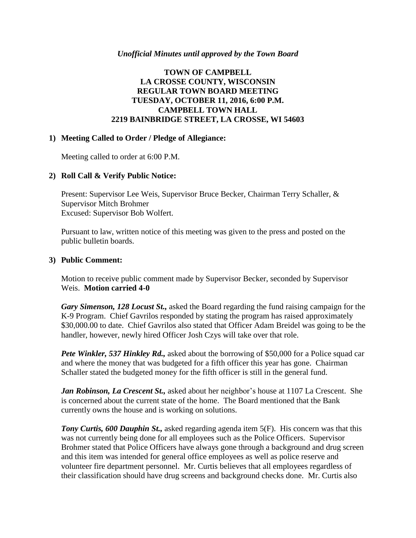### *Unofficial Minutes until approved by the Town Board*

# **TOWN OF CAMPBELL LA CROSSE COUNTY, WISCONSIN REGULAR TOWN BOARD MEETING TUESDAY, OCTOBER 11, 2016, 6:00 P.M. CAMPBELL TOWN HALL 2219 BAINBRIDGE STREET, LA CROSSE, WI 54603**

### **1) Meeting Called to Order / Pledge of Allegiance:**

Meeting called to order at 6:00 P.M.

### **2) Roll Call & Verify Public Notice:**

Present: Supervisor Lee Weis, Supervisor Bruce Becker, Chairman Terry Schaller, & Supervisor Mitch Brohmer Excused: Supervisor Bob Wolfert.

Pursuant to law, written notice of this meeting was given to the press and posted on the public bulletin boards.

### **3) Public Comment:**

Motion to receive public comment made by Supervisor Becker, seconded by Supervisor Weis. **Motion carried 4-0**

*Gary Simenson, 128 Locust St.,* asked the Board regarding the fund raising campaign for the K-9 Program. Chief Gavrilos responded by stating the program has raised approximately \$30,000.00 to date. Chief Gavrilos also stated that Officer Adam Breidel was going to be the handler, however, newly hired Officer Josh Czys will take over that role.

*Pete Winkler, 537 Hinkley Rd.,* asked about the borrowing of \$50,000 for a Police squad car and where the money that was budgeted for a fifth officer this year has gone. Chairman Schaller stated the budgeted money for the fifth officer is still in the general fund.

*Jan Robinson, La Crescent St.,* asked about her neighbor's house at 1107 La Crescent. She is concerned about the current state of the home. The Board mentioned that the Bank currently owns the house and is working on solutions.

*Tony Curtis, 600 Dauphin St.,* asked regarding agenda item 5(F). His concern was that this was not currently being done for all employees such as the Police Officers. Supervisor Brohmer stated that Police Officers have always gone through a background and drug screen and this item was intended for general office employees as well as police reserve and volunteer fire department personnel. Mr. Curtis believes that all employees regardless of their classification should have drug screens and background checks done. Mr. Curtis also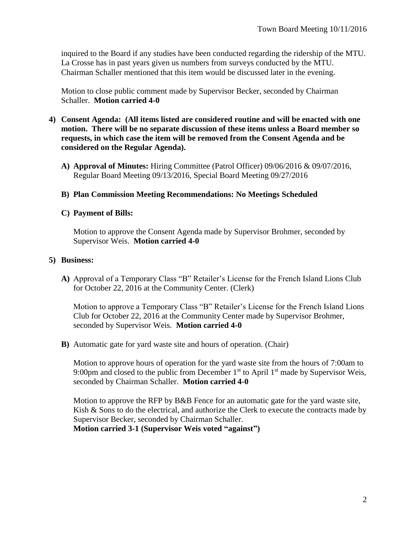inquired to the Board if any studies have been conducted regarding the ridership of the MTU. La Crosse has in past years given us numbers from surveys conducted by the MTU. Chairman Schaller mentioned that this item would be discussed later in the evening.

Motion to close public comment made by Supervisor Becker, seconded by Chairman Schaller. **Motion carried 4-0**

- **4) Consent Agenda: (All items listed are considered routine and will be enacted with one motion. There will be no separate discussion of these items unless a Board member so requests, in which case the item will be removed from the Consent Agenda and be considered on the Regular Agenda).**
	- **A) Approval of Minutes:** Hiring Committee (Patrol Officer) 09/06/2016 & 09/07/2016, Regular Board Meeting 09/13/2016, Special Board Meeting 09/27/2016
	- **B) Plan Commission Meeting Recommendations: No Meetings Scheduled**

### **C) Payment of Bills:**

Motion to approve the Consent Agenda made by Supervisor Brohmer, seconded by Supervisor Weis. **Motion carried 4-0**

### **5) Business:**

**A)** Approval of a Temporary Class "B" Retailer's License for the French Island Lions Club for October 22, 2016 at the Community Center. (Clerk)

Motion to approve a Temporary Class "B" Retailer's License for the French Island Lions Club for October 22, 2016 at the Community Center made by Supervisor Brohmer, seconded by Supervisor Weis. **Motion carried 4-0**

**B)** Automatic gate for yard waste site and hours of operation. (Chair)

Motion to approve hours of operation for the yard waste site from the hours of 7:00am to 9:00pm and closed to the public from December  $1<sup>st</sup>$  to April  $1<sup>st</sup>$  made by Supervisor Weis, seconded by Chairman Schaller. **Motion carried 4-0**

Motion to approve the RFP by B&B Fence for an automatic gate for the yard waste site, Kish & Sons to do the electrical, and authorize the Clerk to execute the contracts made by Supervisor Becker, seconded by Chairman Schaller.

**Motion carried 3-1 (Supervisor Weis voted "against")**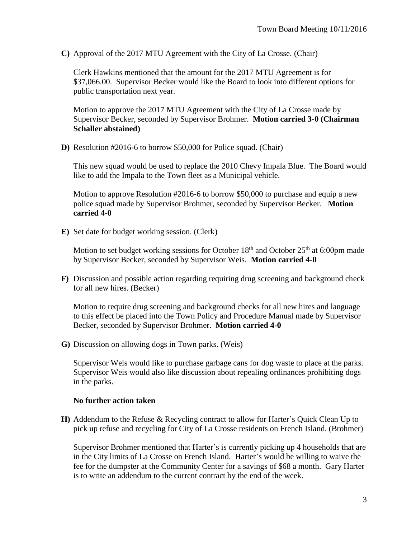**C)** Approval of the 2017 MTU Agreement with the City of La Crosse. (Chair)

Clerk Hawkins mentioned that the amount for the 2017 MTU Agreement is for \$37,066.00. Supervisor Becker would like the Board to look into different options for public transportation next year.

Motion to approve the 2017 MTU Agreement with the City of La Crosse made by Supervisor Becker, seconded by Supervisor Brohmer. **Motion carried 3-0 (Chairman Schaller abstained)**

**D)** Resolution #2016-6 to borrow \$50,000 for Police squad. (Chair)

This new squad would be used to replace the 2010 Chevy Impala Blue. The Board would like to add the Impala to the Town fleet as a Municipal vehicle.

Motion to approve Resolution #2016-6 to borrow \$50,000 to purchase and equip a new police squad made by Supervisor Brohmer, seconded by Supervisor Becker. **Motion carried 4-0**

**E)** Set date for budget working session. (Clerk)

Motion to set budget working sessions for October  $18<sup>th</sup>$  and October  $25<sup>th</sup>$  at 6:00pm made by Supervisor Becker, seconded by Supervisor Weis. **Motion carried 4-0**

**F)** Discussion and possible action regarding requiring drug screening and background check for all new hires. (Becker)

Motion to require drug screening and background checks for all new hires and language to this effect be placed into the Town Policy and Procedure Manual made by Supervisor Becker, seconded by Supervisor Brohmer. **Motion carried 4-0**

**G)** Discussion on allowing dogs in Town parks. (Weis)

Supervisor Weis would like to purchase garbage cans for dog waste to place at the parks. Supervisor Weis would also like discussion about repealing ordinances prohibiting dogs in the parks.

### **No further action taken**

**H)** Addendum to the Refuse & Recycling contract to allow for Harter's Quick Clean Up to pick up refuse and recycling for City of La Crosse residents on French Island. (Brohmer)

Supervisor Brohmer mentioned that Harter's is currently picking up 4 households that are in the City limits of La Crosse on French Island. Harter's would be willing to waive the fee for the dumpster at the Community Center for a savings of \$68 a month. Gary Harter is to write an addendum to the current contract by the end of the week.